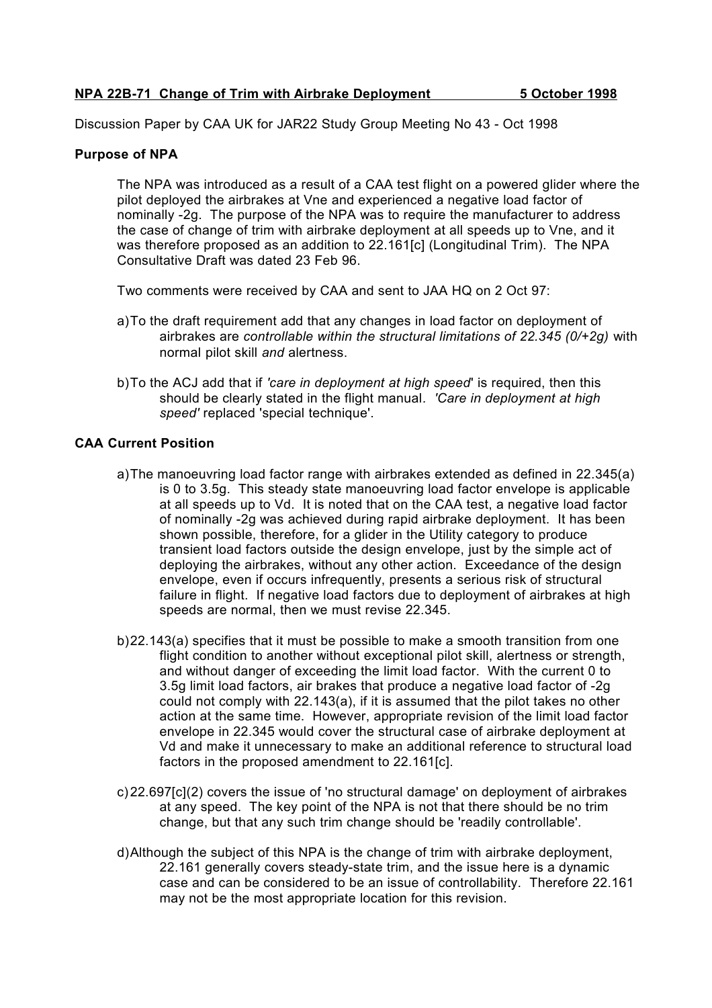Discussion Paper by CAA UK for JAR22 Study Group Meeting No 43 - Oct 1998

## **Purpose of NPA**

The NPA was introduced as a result of a CAA test flight on a powered glider where the pilot deployed the airbrakes at Vne and experienced a negative load factor of nominally -2g. The purpose of the NPA was to require the manufacturer to address the case of change of trim with airbrake deployment at all speeds up to Vne, and it was therefore proposed as an addition to 22.161[c] (Longitudinal Trim). The NPA Consultative Draft was dated 23 Feb 96.

Two comments were received by CAA and sent to JAA HQ on 2 Oct 97:

- a)To the draft requirement add that any changes in load factor on deployment of airbrakes are *controllable within the structural limitations of 22.345 (0/+2g)* with normal pilot skill *and* alertness.
- b)To the ACJ add that if *'care in deployment at high speed*' is required, then this should be clearly stated in the flight manual*. 'Care in deployment at high speed'* replaced 'special technique'.

# **CAA Current Position**

- a)The manoeuvring load factor range with airbrakes extended as defined in 22.345(a) is 0 to 3.5g. This steady state manoeuvring load factor envelope is applicable at all speeds up to Vd. It is noted that on the CAA test, a negative load factor of nominally -2g was achieved during rapid airbrake deployment. It has been shown possible, therefore, for a glider in the Utility category to produce transient load factors outside the design envelope, just by the simple act of deploying the airbrakes, without any other action. Exceedance of the design envelope, even if occurs infrequently, presents a serious risk of structural failure in flight. If negative load factors due to deployment of airbrakes at high speeds are normal, then we must revise 22.345.
- b)22.143(a) specifies that it must be possible to make a smooth transition from one flight condition to another without exceptional pilot skill, alertness or strength, and without danger of exceeding the limit load factor. With the current 0 to 3.5g limit load factors, air brakes that produce a negative load factor of -2g could not comply with 22.143(a), if it is assumed that the pilot takes no other action at the same time. However, appropriate revision of the limit load factor envelope in 22.345 would cover the structural case of airbrake deployment at Vd and make it unnecessary to make an additional reference to structural load factors in the proposed amendment to 22.161[c].
- c) 22.697[c](2) covers the issue of 'no structural damage' on deployment of airbrakes at any speed. The key point of the NPA is not that there should be no trim change, but that any such trim change should be 'readily controllable'.
- d)Although the subject of this NPA is the change of trim with airbrake deployment, 22.161 generally covers steady-state trim, and the issue here is a dynamic case and can be considered to be an issue of controllability. Therefore 22.161 may not be the most appropriate location for this revision.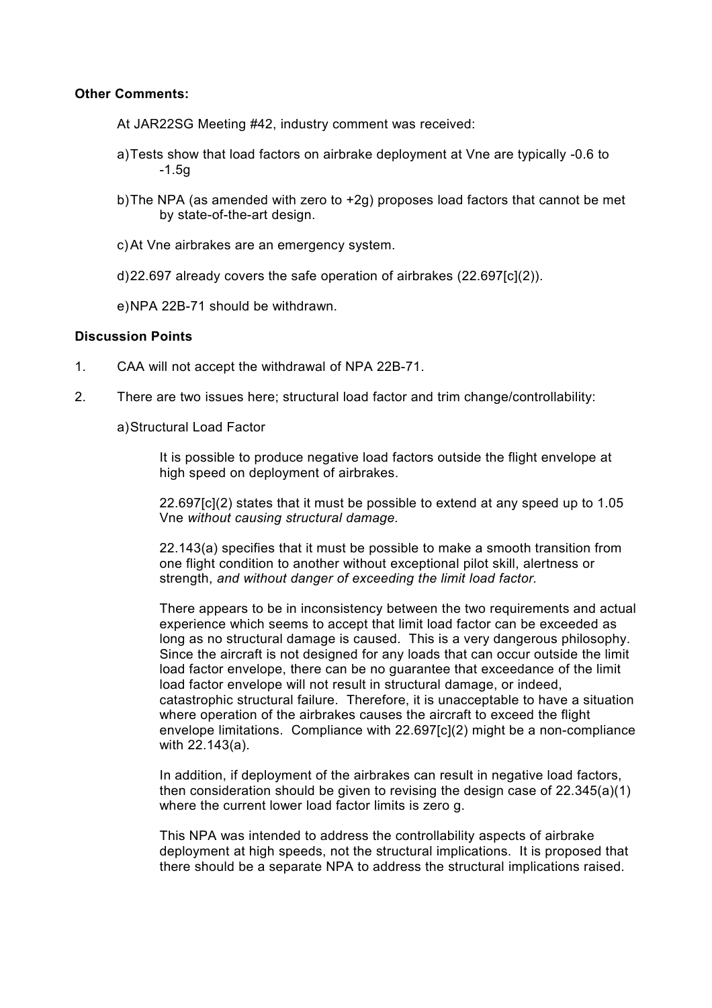#### **Other Comments:**

- At JAR22SG Meeting #42, industry comment was received:
- a)Tests show that load factors on airbrake deployment at Vne are typically -0.6 to  $-1.5g$
- b)The NPA (as amended with zero to +2g) proposes load factors that cannot be met by state-of-the-art design.
- c)At Vne airbrakes are an emergency system.
- d)22.697 already covers the safe operation of airbrakes (22.697[c](2)).

e)NPA 22B-71 should be withdrawn.

## **Discussion Points**

- 1. CAA will not accept the withdrawal of NPA 22B-71.
- 2. There are two issues here; structural load factor and trim change/controllability:

a)Structural Load Factor

It is possible to produce negative load factors outside the flight envelope at high speed on deployment of airbrakes.

22.697[c](2) states that it must be possible to extend at any speed up to 1.05 Vne *without causing structural damage.*

22.143(a) specifies that it must be possible to make a smooth transition from one flight condition to another without exceptional pilot skill, alertness or strength, *and without danger of exceeding the limit load factor.*

There appears to be in inconsistency between the two requirements and actual experience which seems to accept that limit load factor can be exceeded as long as no structural damage is caused. This is a very dangerous philosophy. Since the aircraft is not designed for any loads that can occur outside the limit load factor envelope, there can be no guarantee that exceedance of the limit load factor envelope will not result in structural damage, or indeed, catastrophic structural failure. Therefore, it is unacceptable to have a situation where operation of the airbrakes causes the aircraft to exceed the flight envelope limitations. Compliance with 22.697[c](2) might be a non-compliance with 22.143(a).

In addition, if deployment of the airbrakes can result in negative load factors, then consideration should be given to revising the design case of 22.345(a)(1) where the current lower load factor limits is zero g.

This NPA was intended to address the controllability aspects of airbrake deployment at high speeds, not the structural implications. It is proposed that there should be a separate NPA to address the structural implications raised.